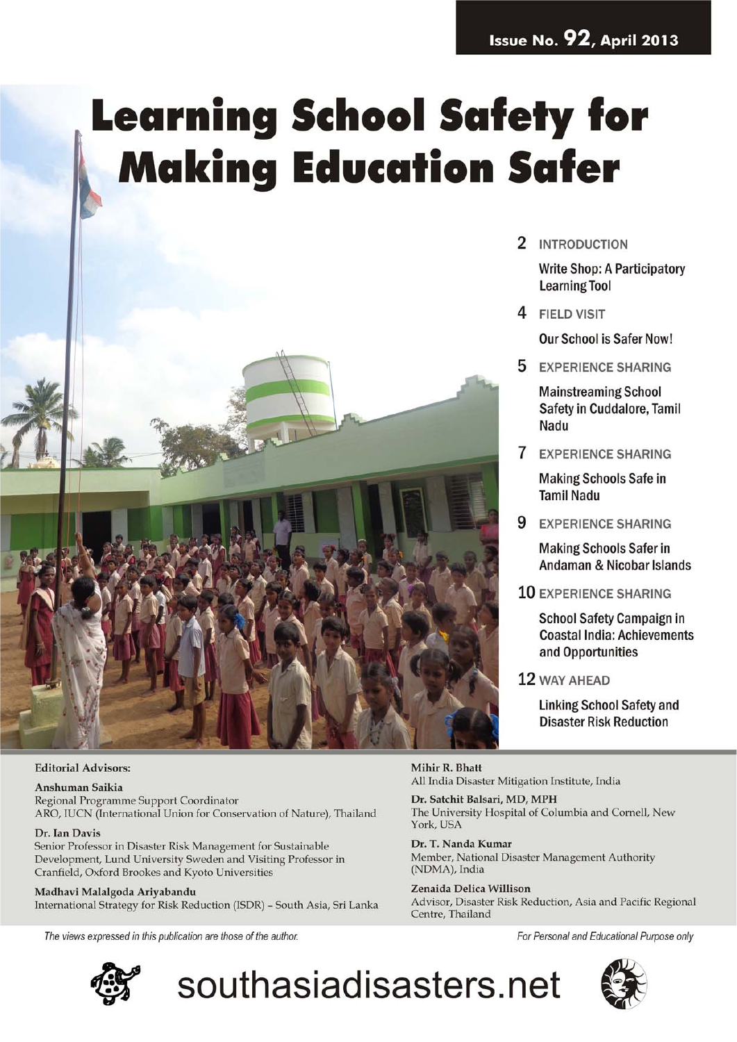# **Learning School Safety for Making Education Safer**



#### **Editorial Advisors:**

#### Anshuman Saikia

Regional Programme Support Coordinator ARO, IUCN (International Union for Conservation of Nature), Thailand

#### Dr. Ian Davis

Senior Professor in Disaster Risk Management for Sustainable Development, Lund University Sweden and Visiting Professor in Cranfield, Oxford Brookes and Kyoto Universities

Madhavi Malalgoda Ariyabandu International Strategy for Risk Reduction (ISDR) - South Asia, Sri Lanka

The views expressed in this publication are those of the author.



## southasiadisasters.net

2 INTRODUCTION

**Write Shop: A Participatory Learning Tool** 

4 FIELD VISIT

**Our School is Safer Now!** 

5 EXPERIENCE SHARING

**Mainstreaming School** Safety in Cuddalore, Tamil Nadu

**7** EXPERIENCE SHARING

**Making Schools Safe in Tamil Nadu** 

9 EXPERIENCE SHARING

**Making Schools Safer in** Andaman & Nicobar Islands

10 EXPERIENCE SHARING

**School Safety Campaign in Coastal India: Achievements** and Opportunities

12 WAY AHEAD

**Linking School Safety and Disaster Risk Reduction** 

Mihir R. Bhatt All India Disaster Mitigation Institute, India

Dr. Satchit Balsari, MD, MPH The University Hospital of Columbia and Cornell, New York, USA

Dr. T. Nanda Kumar Member, National Disaster Management Authority (NDMA), India

Zenaida Delica Willison Advisor, Disaster Risk Reduction, Asia and Pacific Regional Centre, Thailand

For Personal and Educational Purpose only

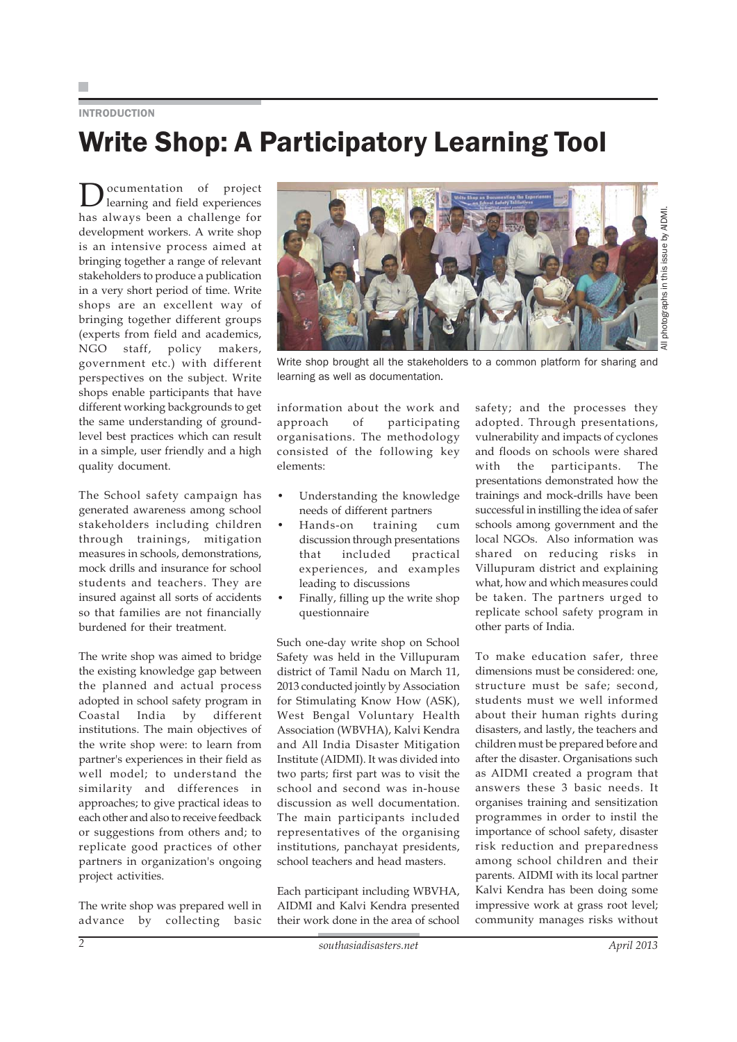#### **INTRODUCTION**

## Write Shop: A Participatory Learning Tool

ocumentation of project learning and field experiences has always been a challenge for development workers. A write shop is an intensive process aimed at bringing together a range of relevant stakeholders to produce a publication in a very short period of time. Write shops are an excellent way of bringing together different groups (experts from field and academics, NGO staff, policy makers, government etc.) with different perspectives on the subject. Write shops enable participants that have different working backgrounds to get the same understanding of groundlevel best practices which can result in a simple, user friendly and a high quality document.

The School safety campaign has generated awareness among school stakeholders including children through trainings, mitigation measures in schools, demonstrations, mock drills and insurance for school students and teachers. They are insured against all sorts of accidents so that families are not financially burdened for their treatment.

The write shop was aimed to bridge the existing knowledge gap between the planned and actual process adopted in school safety program in Coastal India by different institutions. The main objectives of the write shop were: to learn from partner's experiences in their field as well model; to understand the similarity and differences in approaches; to give practical ideas to each other and also to receive feedback or suggestions from others and; to replicate good practices of other partners in organization's ongoing project activities.

The write shop was prepared well in advance by collecting basic



Write shop brought all the stakeholders to a common platform for sharing and learning as well as documentation.

information about the work and approach of participating organisations. The methodology consisted of the following key elements:

- Understanding the knowledge needs of different partners
- Hands-on training cum discussion through presentations that included practical experiences, and examples leading to discussions
- Finally, filling up the write shop questionnaire

Such one-day write shop on School Safety was held in the Villupuram district of Tamil Nadu on March 11, 2013 conducted jointly by Association for Stimulating Know How (ASK), West Bengal Voluntary Health Association (WBVHA), Kalvi Kendra and All India Disaster Mitigation Institute (AIDMI). It was divided into two parts; first part was to visit the school and second was in-house discussion as well documentation. The main participants included representatives of the organising institutions, panchayat presidents, school teachers and head masters.

Each participant including WBVHA, AIDMI and Kalvi Kendra presented their work done in the area of school safety; and the processes they adopted. Through presentations, vulnerability and impacts of cyclones and floods on schools were shared with the participants. The presentations demonstrated how the trainings and mock-drills have been successful in instilling the idea of safer schools among government and the local NGOs. Also information was shared on reducing risks in Villupuram district and explaining what, how and which measures could be taken. The partners urged to replicate school safety program in other parts of India.

To make education safer, three dimensions must be considered: one, structure must be safe; second, students must we well informed about their human rights during disasters, and lastly, the teachers and children must be prepared before and after the disaster. Organisations such as AIDMI created a program that answers these 3 basic needs. It organises training and sensitization programmes in order to instil the importance of school safety, disaster risk reduction and preparedness among school children and their parents. AIDMI with its local partner Kalvi Kendra has been doing some impressive work at grass root level; community manages risks without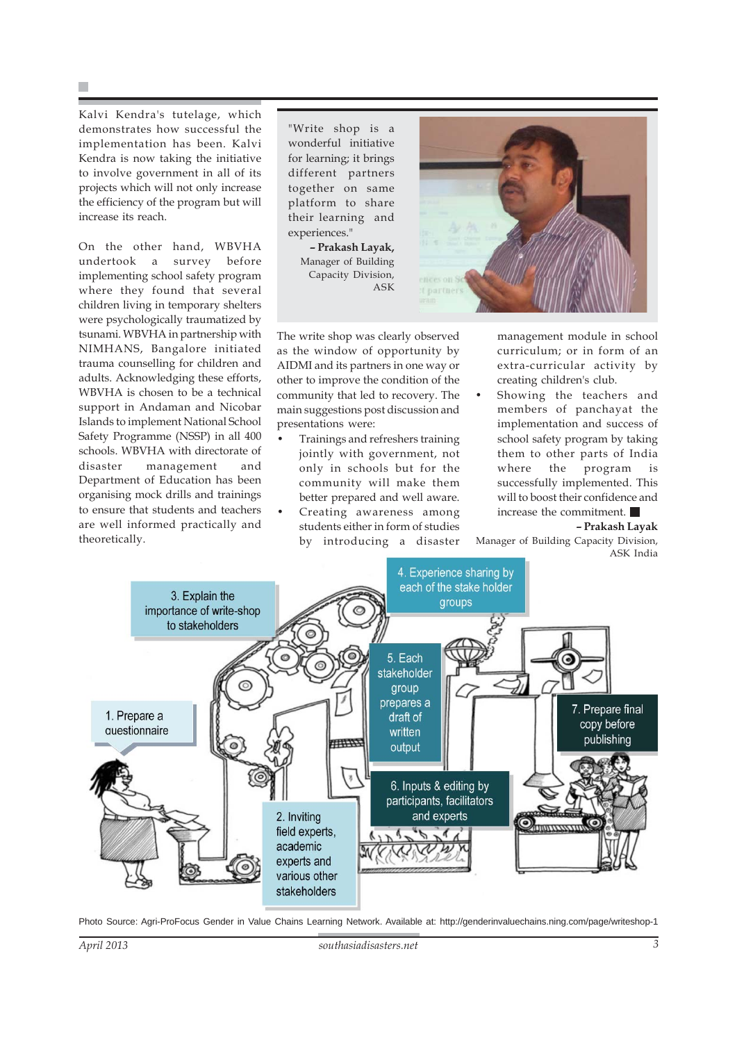Kalvi Kendra's tutelage, which demonstrates how successful the implementation has been. Kalvi Kendra is now taking the initiative to involve government in all of its projects which will not only increase the efficiency of the program but will increase its reach.

On the other hand, WBVHA undertook a survey before implementing school safety program where they found that several children living in temporary shelters were psychologically traumatized by tsunami. WBVHA in partnership with NIMHANS, Bangalore initiated trauma counselling for children and adults. Acknowledging these efforts, WBVHA is chosen to be a technical support in Andaman and Nicobar Islands to implement National School Safety Programme (NSSP) in all 400 schools. WBVHA with directorate of disaster management and Department of Education has been organising mock drills and trainings to ensure that students and teachers are well informed practically and theoretically.

"Write shop is a wonderful initiative for learning; it brings different partners together on same platform to share their learning and experiences."

> **– Prakash Layak,** Manager of Building Capacity Division, ASK



The write shop was clearly observed as the window of opportunity by AIDMI and its partners in one way or other to improve the condition of the community that led to recovery. The main suggestions post discussion and presentations were:

- Trainings and refreshers training jointly with government, not only in schools but for the community will make them better prepared and well aware.
- Creating awareness among students either in form of studies by introducing a disaster

management module in school curriculum; or in form of an extra-curricular activity by creating children's club.

Showing the teachers and members of panchayat the implementation and success of school safety program by taking them to other parts of India where the program is successfully implemented. This will to boost their confidence and increase the commitment.

**– Prakash Layak**

Manager of Building Capacity Division, ASK India



Photo Source: Agri-ProFocus Gender in Value Chains Learning Network. Available at: http://genderinvaluechains.ning.com/page/writeshop-1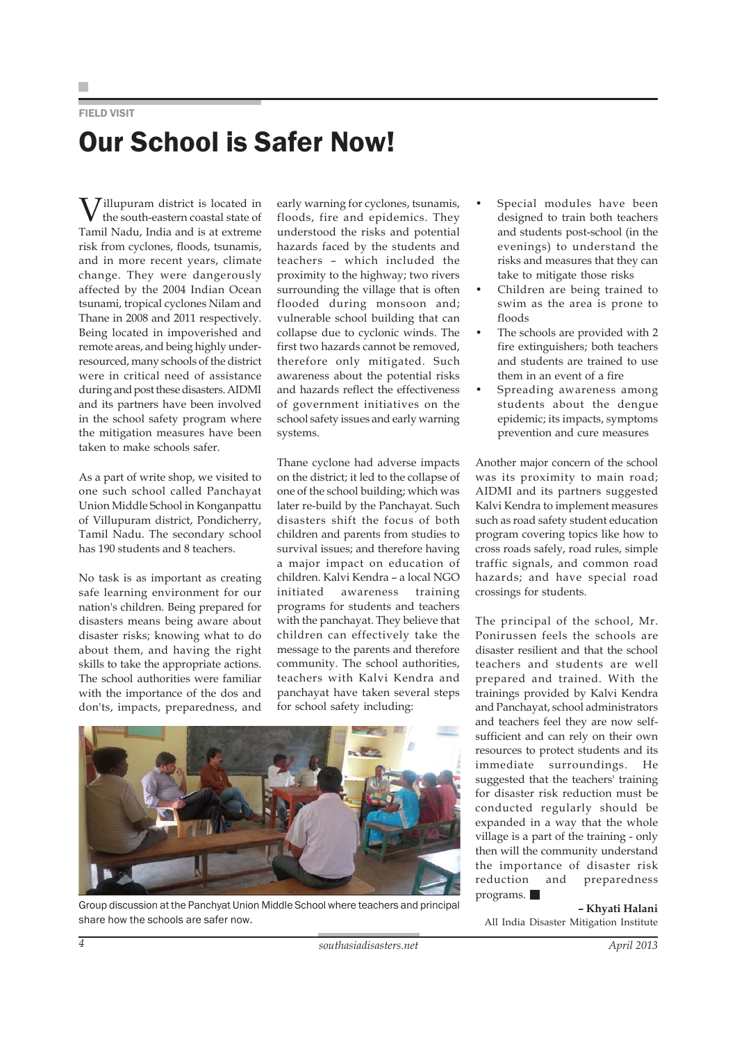FIELD VISIT

# Our School is Safer Now!

 $\overline{J}$ illupuram district is located in the south-eastern coastal state of Tamil Nadu, India and is at extreme risk from cyclones, floods, tsunamis, and in more recent years, climate change. They were dangerously affected by the 2004 Indian Ocean tsunami, tropical cyclones Nilam and Thane in 2008 and 2011 respectively. Being located in impoverished and remote areas, and being highly underresourced, many schools of the district were in critical need of assistance during and post these disasters. AIDMI and its partners have been involved in the school safety program where the mitigation measures have been taken to make schools safer.

As a part of write shop, we visited to one such school called Panchayat Union Middle School in Konganpattu of Villupuram district, Pondicherry, Tamil Nadu. The secondary school has 190 students and 8 teachers.

No task is as important as creating safe learning environment for our nation's children. Being prepared for disasters means being aware about disaster risks; knowing what to do about them, and having the right skills to take the appropriate actions. The school authorities were familiar with the importance of the dos and don'ts, impacts, preparedness, and early warning for cyclones, tsunamis, floods, fire and epidemics. They understood the risks and potential hazards faced by the students and teachers – which included the proximity to the highway; two rivers surrounding the village that is often flooded during monsoon and; vulnerable school building that can collapse due to cyclonic winds. The first two hazards cannot be removed, therefore only mitigated. Such awareness about the potential risks and hazards reflect the effectiveness of government initiatives on the school safety issues and early warning systems.

Thane cyclone had adverse impacts on the district; it led to the collapse of one of the school building; which was later re-build by the Panchayat. Such disasters shift the focus of both children and parents from studies to survival issues; and therefore having a major impact on education of children. Kalvi Kendra – a local NGO initiated awareness training programs for students and teachers with the panchayat. They believe that children can effectively take the message to the parents and therefore community. The school authorities, teachers with Kalvi Kendra and panchayat have taken several steps for school safety including:



Group discussion at the Panchyat Union Middle School where teachers and principal share how the schools are safer now.

- Special modules have been designed to train both teachers and students post-school (in the evenings) to understand the risks and measures that they can take to mitigate those risks
- Children are being trained to swim as the area is prone to floods
- The schools are provided with 2 fire extinguishers; both teachers and students are trained to use them in an event of a fire
- Spreading awareness among students about the dengue epidemic; its impacts, symptoms prevention and cure measures

Another major concern of the school was its proximity to main road; AIDMI and its partners suggested Kalvi Kendra to implement measures such as road safety student education program covering topics like how to cross roads safely, road rules, simple traffic signals, and common road hazards; and have special road crossings for students.

The principal of the school, Mr. Ponirussen feels the schools are disaster resilient and that the school teachers and students are well prepared and trained. With the trainings provided by Kalvi Kendra and Panchayat, school administrators and teachers feel they are now selfsufficient and can rely on their own resources to protect students and its immediate surroundings. He suggested that the teachers' training for disaster risk reduction must be conducted regularly should be expanded in a way that the whole village is a part of the training - only then will the community understand the importance of disaster risk reduction and preparedness programs.

**– Khyati Halani** All India Disaster Mitigation Institute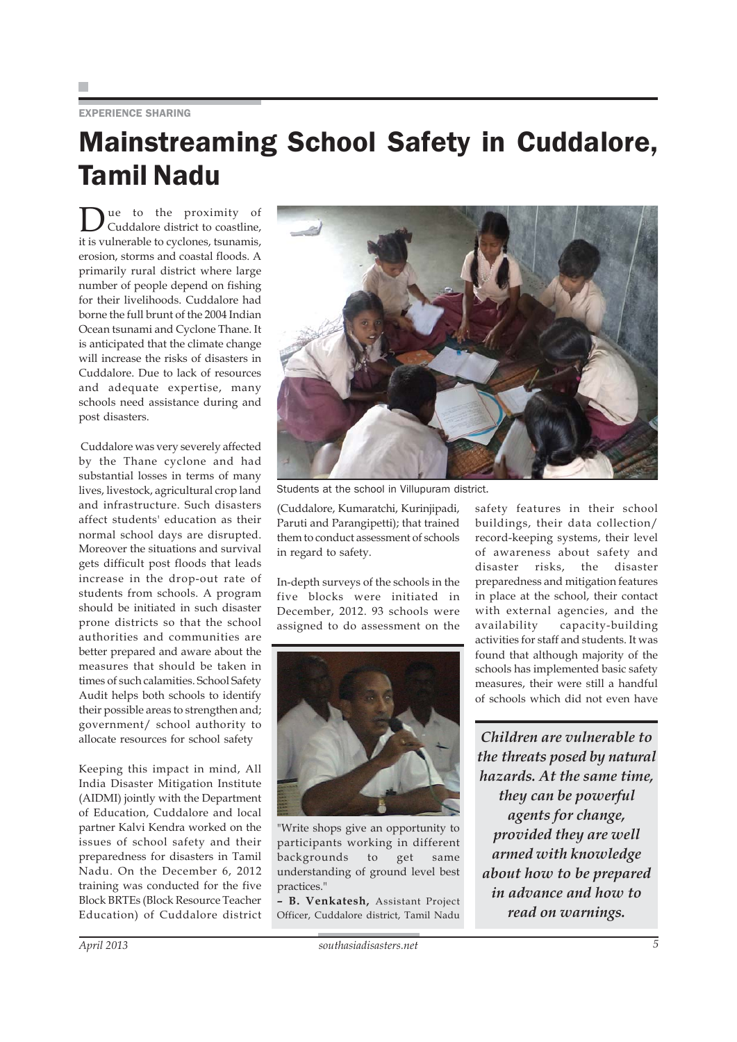#### EXPERIENCE SHARING

## Mainstreaming School Safety in Cuddalore, Tamil Nadu

ue to the proximity of Cuddalore district to coastline, it is vulnerable to cyclones, tsunamis, erosion, storms and coastal floods. A primarily rural district where large number of people depend on fishing for their livelihoods. Cuddalore had borne the full brunt of the 2004 Indian Ocean tsunami and Cyclone Thane. It is anticipated that the climate change will increase the risks of disasters in Cuddalore. Due to lack of resources and adequate expertise, many schools need assistance during and post disasters.

 Cuddalore was very severely affected by the Thane cyclone and had substantial losses in terms of many lives, livestock, agricultural crop land and infrastructure. Such disasters affect students' education as their normal school days are disrupted. Moreover the situations and survival gets difficult post floods that leads increase in the drop-out rate of students from schools. A program should be initiated in such disaster prone districts so that the school authorities and communities are better prepared and aware about the measures that should be taken in times of such calamities. School Safety Audit helps both schools to identify their possible areas to strengthen and; government/ school authority to allocate resources for school safety

Keeping this impact in mind, All India Disaster Mitigation Institute (AIDMI) jointly with the Department of Education, Cuddalore and local partner Kalvi Kendra worked on the issues of school safety and their preparedness for disasters in Tamil Nadu. On the December 6, 2012 training was conducted for the five Block BRTEs (Block Resource Teacher Education) of Cuddalore district



Students at the school in Villupuram district.

(Cuddalore, Kumaratchi, Kurinjipadi, Paruti and Parangipetti); that trained them to conduct assessment of schools in regard to safety.

In-depth surveys of the schools in the five blocks were initiated in December, 2012. 93 schools were assigned to do assessment on the



"Write shops give an opportunity to participants working in different backgrounds to get same understanding of ground level best practices."

**– B. Venkatesh,** Assistant Project Officer, Cuddalore district, Tamil Nadu safety features in their school buildings, their data collection/ record-keeping systems, their level of awareness about safety and disaster risks, the disaster preparedness and mitigation features in place at the school, their contact with external agencies, and the availability capacity-building activities for staff and students. It was found that although majority of the schools has implemented basic safety measures, their were still a handful of schools which did not even have

*Children are vulnerable to the threats posed by natural hazards. At the same time, they can be powerful agents for change, provided they are well armed with knowledge about how to be prepared in advance and how to read on warnings.*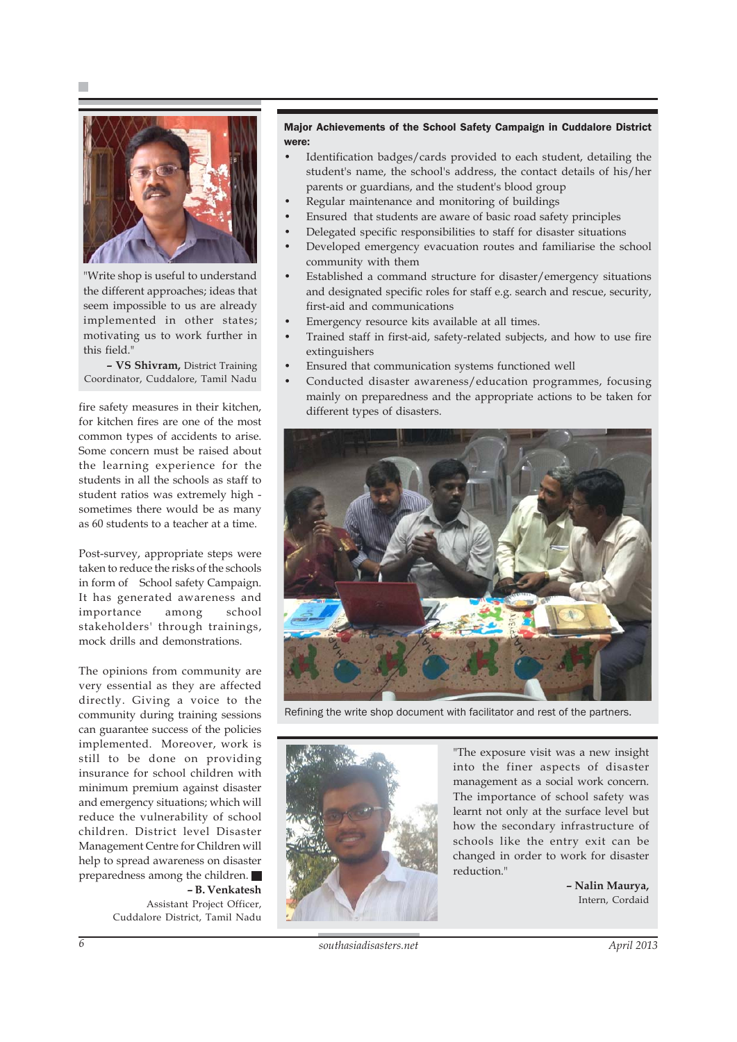



"Write shop is useful to understand the different approaches; ideas that seem impossible to us are already implemented in other states; motivating us to work further in this field."

**– VS Shivram,** District Training Coordinator, Cuddalore, Tamil Nadu

fire safety measures in their kitchen, for kitchen fires are one of the most common types of accidents to arise. Some concern must be raised about the learning experience for the students in all the schools as staff to student ratios was extremely high sometimes there would be as many as 60 students to a teacher at a time.

Post-survey, appropriate steps were taken to reduce the risks of the schools in form of School safety Campaign. It has generated awareness and importance among school stakeholders' through trainings, mock drills and demonstrations.

The opinions from community are very essential as they are affected directly. Giving a voice to the community during training sessions can guarantee success of the policies implemented. Moreover, work is still to be done on providing insurance for school children with minimum premium against disaster and emergency situations; which will reduce the vulnerability of school children. District level Disaster Management Centre for Children will help to spread awareness on disaster preparedness among the children. **– B. Venkatesh**

Assistant Project Officer, Cuddalore District, Tamil Nadu

#### Major Achievements of the School Safety Campaign in Cuddalore District were:

- Identification badges/cards provided to each student, detailing the student's name, the school's address, the contact details of his/her parents or guardians, and the student's blood group
- Regular maintenance and monitoring of buildings
- Ensured that students are aware of basic road safety principles
- Delegated specific responsibilities to staff for disaster situations
- Developed emergency evacuation routes and familiarise the school community with them
- Established a command structure for disaster/emergency situations and designated specific roles for staff e.g. search and rescue, security, first-aid and communications
- Emergency resource kits available at all times.
- Trained staff in first-aid, safety-related subjects, and how to use fire extinguishers
- Ensured that communication systems functioned well
- Conducted disaster awareness/education programmes, focusing mainly on preparedness and the appropriate actions to be taken for different types of disasters.



Refining the write shop document with facilitator and rest of the partners.



"The exposure visit was a new insight into the finer aspects of disaster management as a social work concern. The importance of school safety was learnt not only at the surface level but how the secondary infrastructure of schools like the entry exit can be changed in order to work for disaster reduction."

> **– Nalin Maurya,** Intern, Cordaid

*6 southasiadisasters.net April 2013*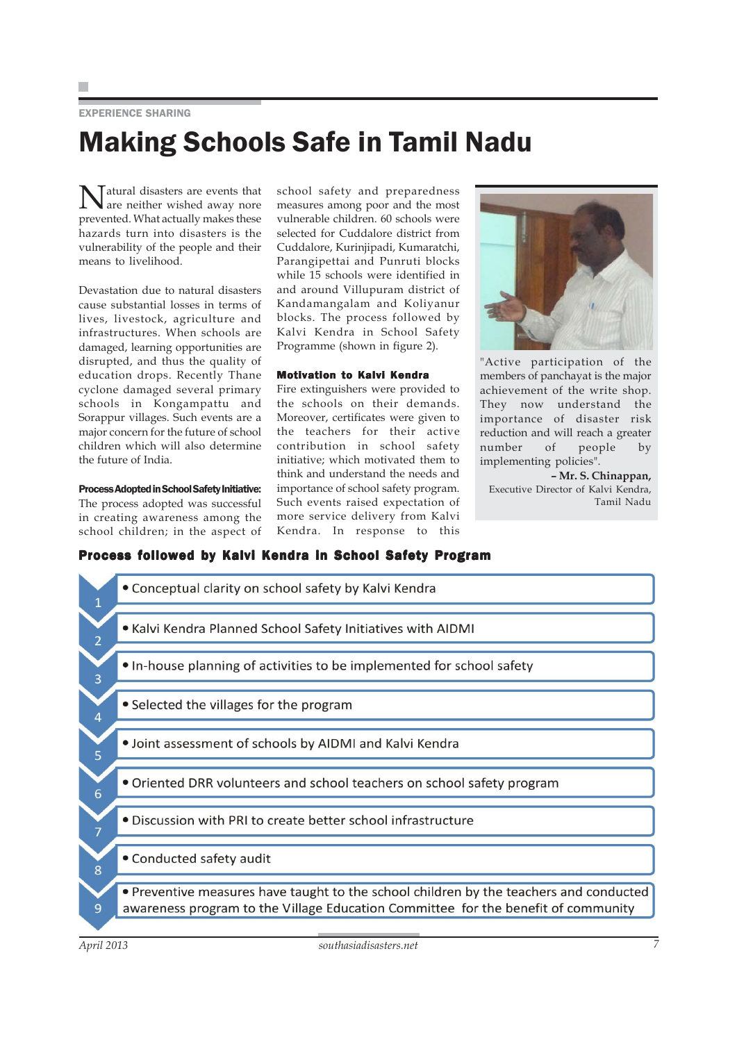EXPERIENCE SHARING

## Making Schools Safe in Tamil Nadu

Natural disasters are events that are neither wished away nore prevented. What actually makes these hazards turn into disasters is the vulnerability of the people and their means to livelihood.

Devastation due to natural disasters cause substantial losses in terms of lives, livestock, agriculture and infrastructures. When schools are damaged, learning opportunities are disrupted, and thus the quality of education drops. Recently Thane cyclone damaged several primary schools in Kongampattu and Sorappur villages. Such events are a major concern for the future of school children which will also determine the future of India.

#### Process Adopted in School Safety Initiative:

The process adopted was successful in creating awareness among the school children; in the aspect of school safety and preparedness measures among poor and the most vulnerable children. 60 schools were selected for Cuddalore district from Cuddalore, Kurinjipadi, Kumaratchi, Parangipettai and Punruti blocks while 15 schools were identified in and around Villupuram district of Kandamangalam and Koliyanur blocks. The process followed by Kalvi Kendra in School Safety Programme (shown in figure 2).

#### Motivation to Kalvi Kendra

Fire extinguishers were provided to the schools on their demands. Moreover, certificates were given to the teachers for their active contribution in school safety initiative; which motivated them to think and understand the needs and importance of school safety program. Such events raised expectation of more service delivery from Kalvi Kendra. In response to this



"Active participation of the members of panchayat is the major achievement of the write shop. They now understand the importance of disaster risk reduction and will reach a greater number of people by implementing policies".

**– Mr. S. Chinappan,** Executive Director of Kalvi Kendra, Tamil Nadu

### Process followed by Kalvi Kendra in School Safety Program

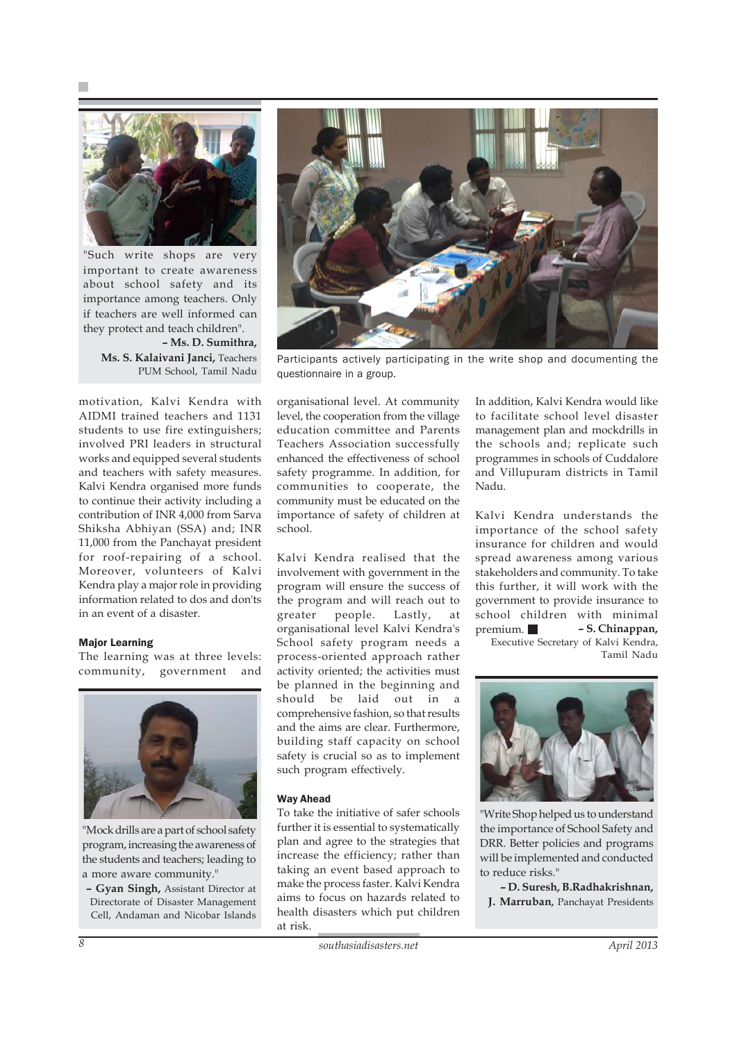

"Such write shops are very important to create awareness about school safety and its importance among teachers. Only if teachers are well informed can they protect and teach children".

**– Ms. D. Sumithra, Ms. S. Kalaivani Janci,** Teachers PUM School, Tamil Nadu

motivation, Kalvi Kendra with AIDMI trained teachers and 1131 students to use fire extinguishers; involved PRI leaders in structural works and equipped several students and teachers with safety measures. Kalvi Kendra organised more funds to continue their activity including a contribution of INR 4,000 from Sarva Shiksha Abhiyan (SSA) and; INR 11,000 from the Panchayat president for roof-repairing of a school. Moreover, volunteers of Kalvi Kendra play a major role in providing information related to dos and don'ts in an event of a disaster.

#### Major Learning

The learning was at three levels: community, government and



"Mock drills are a part of school safety program, increasing the awareness of the students and teachers; leading to a more aware community."

**– Gyan Singh,** Assistant Director at Directorate of Disaster Management Cell, Andaman and Nicobar Islands



Participants actively participating in the write shop and documenting the questionnaire in a group.

organisational level. At community level, the cooperation from the village education committee and Parents Teachers Association successfully enhanced the effectiveness of school safety programme. In addition, for communities to cooperate, the community must be educated on the importance of safety of children at school.

Kalvi Kendra realised that the involvement with government in the program will ensure the success of the program and will reach out to greater people. Lastly, at organisational level Kalvi Kendra's School safety program needs a process-oriented approach rather activity oriented; the activities must be planned in the beginning and should be laid out in a comprehensive fashion, so that results and the aims are clear. Furthermore, building staff capacity on school safety is crucial so as to implement such program effectively.

#### Way Ahead

To take the initiative of safer schools further it is essential to systematically plan and agree to the strategies that increase the efficiency; rather than taking an event based approach to make the process faster. Kalvi Kendra aims to focus on hazards related to health disasters which put children at risk.

In addition, Kalvi Kendra would like to facilitate school level disaster management plan and mockdrills in the schools and; replicate such programmes in schools of Cuddalore and Villupuram districts in Tamil Nadu.

Kalvi Kendra understands the importance of the school safety insurance for children and would spread awareness among various stakeholders and community. To take this further, it will work with the government to provide insurance to school children with minimal premium. **– S. Chinappan,** Executive Secretary of Kalvi Kendra,

Tamil Nadu



"Write Shop helped us to understand the importance of School Safety and DRR. Better policies and programs will be implemented and conducted to reduce risks."

**– D. Suresh, B.Radhakrishnan, J. Marruban,** Panchayat Presidents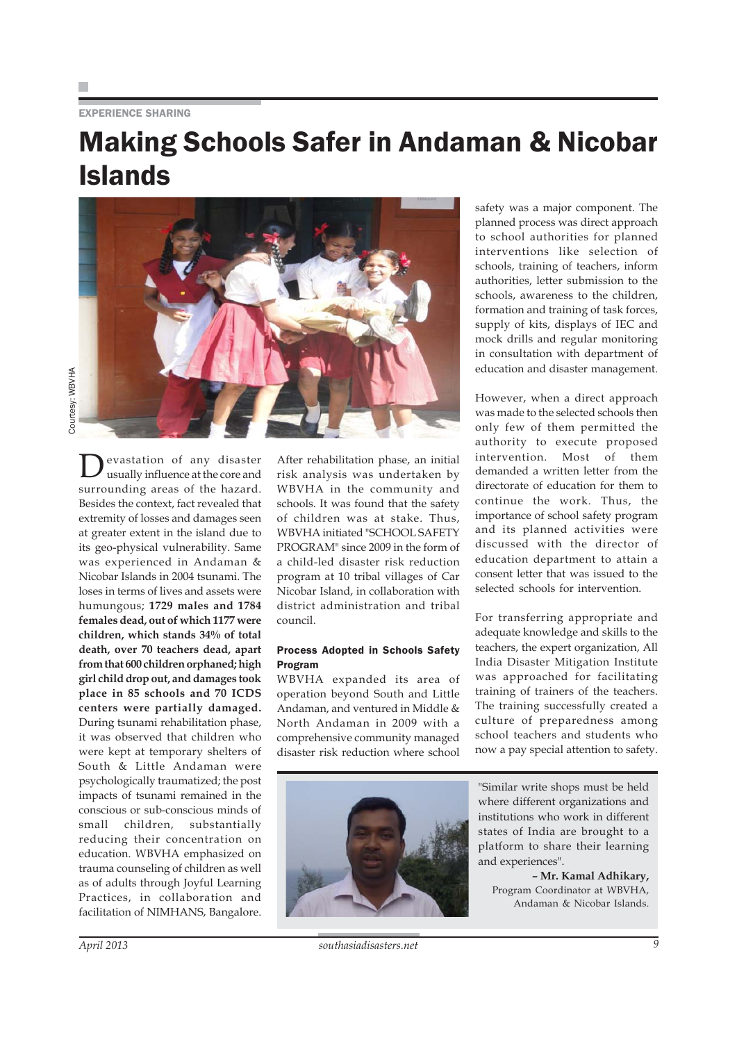#### EXPERIENCE SHARING

## Making Schools Safer in Andaman & Nicobar Islands

Devastation of any disaster<br>usually influence at the core and surrounding areas of the hazard. Besides the context, fact revealed that extremity of losses and damages seen at greater extent in the island due to its geo-physical vulnerability. Same was experienced in Andaman & Nicobar Islands in 2004 tsunami. The loses in terms of lives and assets were humungous; **1729 males and 1784 females dead, out of which 1177 were children, which stands 34% of total death, over 70 teachers dead, apart from that 600 children orphaned; high girl child drop out, and damages took place in 85 schools and 70 ICDS centers were partially damaged.** During tsunami rehabilitation phase, it was observed that children who were kept at temporary shelters of South & Little Andaman were psychologically traumatized; the post impacts of tsunami remained in the conscious or sub-conscious minds of small children, substantially reducing their concentration on education. WBVHA emphasized on trauma counseling of children as well as of adults through Joyful Learning Practices, in collaboration and facilitation of NIMHANS, Bangalore.

After rehabilitation phase, an initial risk analysis was undertaken by WBVHA in the community and schools. It was found that the safety of children was at stake. Thus, WBVHA initiated "SCHOOL SAFETY PROGRAM" since 2009 in the form of a child-led disaster risk reduction program at 10 tribal villages of Car Nicobar Island, in collaboration with district administration and tribal council.

#### Process Adopted in Schools Safety Program

WBVHA expanded its area of operation beyond South and Little Andaman, and ventured in Middle & North Andaman in 2009 with a comprehensive community managed disaster risk reduction where school

safety was a major component. The planned process was direct approach to school authorities for planned interventions like selection of schools, training of teachers, inform authorities, letter submission to the schools, awareness to the children, formation and training of task forces, supply of kits, displays of IEC and mock drills and regular monitoring in consultation with department of education and disaster management.

However, when a direct approach was made to the selected schools then only few of them permitted the authority to execute proposed intervention. Most of them demanded a written letter from the directorate of education for them to continue the work. Thus, the importance of school safety program and its planned activities were discussed with the director of education department to attain a consent letter that was issued to the selected schools for intervention.

For transferring appropriate and adequate knowledge and skills to the teachers, the expert organization, All India Disaster Mitigation Institute was approached for facilitating training of trainers of the teachers. The training successfully created a culture of preparedness among school teachers and students who now a pay special attention to safety.



"Similar write shops must be held where different organizations and institutions who work in different states of India are brought to a platform to share their learning and experiences".

**– Mr. Kamal Adhikary,** Program Coordinator at WBVHA, Andaman & Nicobar Islands.

*April 2013 southasiadisasters.net 9*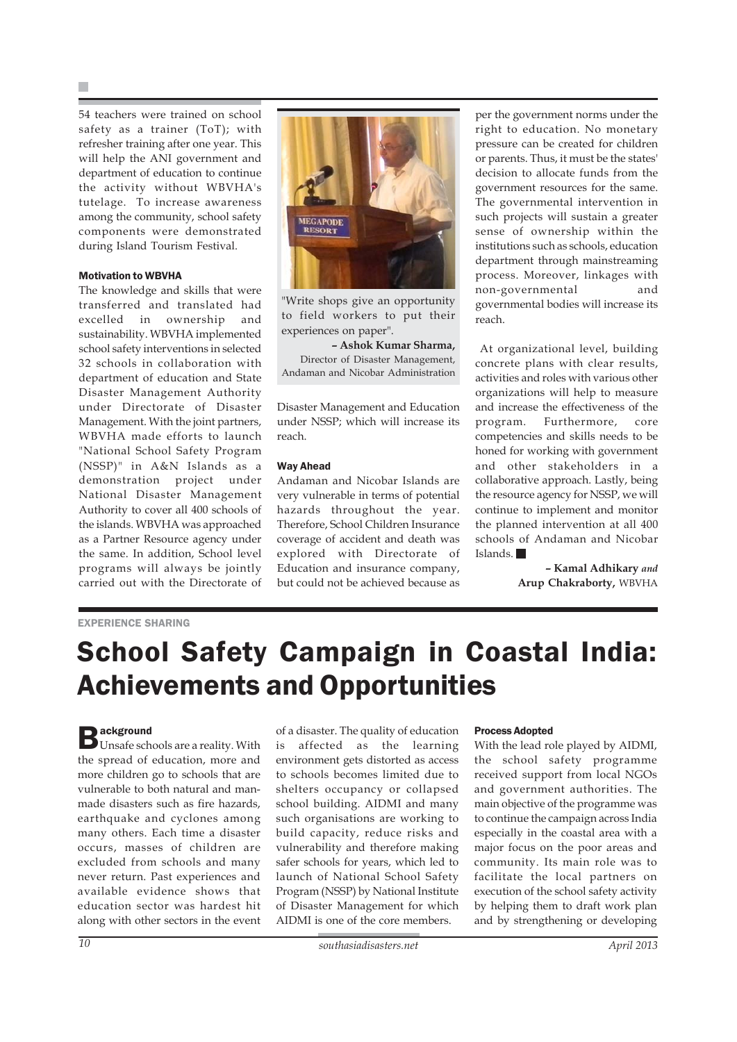54 teachers were trained on school safety as a trainer (ToT); with refresher training after one year. This will help the ANI government and department of education to continue the activity without WBVHA's tutelage. To increase awareness among the community, school safety components were demonstrated during Island Tourism Festival.

#### Motivation to WBVHA

The knowledge and skills that were transferred and translated had excelled in ownership and sustainability. WBVHA implemented school safety interventions in selected 32 schools in collaboration with department of education and State Disaster Management Authority under Directorate of Disaster Management. With the joint partners, WBVHA made efforts to launch "National School Safety Program (NSSP)" in A&N Islands as a demonstration project under National Disaster Management Authority to cover all 400 schools of the islands. WBVHA was approached as a Partner Resource agency under the same. In addition, School level programs will always be jointly carried out with the Directorate of



"Write shops give an opportunity to field workers to put their experiences on paper".

**– Ashok Kumar Sharma,** Director of Disaster Management, Andaman and Nicobar Administration

Disaster Management and Education under NSSP; which will increase its reach.

#### Way Ahead

Andaman and Nicobar Islands are very vulnerable in terms of potential hazards throughout the year. Therefore, School Children Insurance coverage of accident and death was explored with Directorate of Education and insurance company, but could not be achieved because as

per the government norms under the right to education. No monetary pressure can be created for children or parents. Thus, it must be the states' decision to allocate funds from the government resources for the same. The governmental intervention in such projects will sustain a greater sense of ownership within the institutions such as schools, education department through mainstreaming process. Moreover, linkages with non-governmental and governmental bodies will increase its reach.

 At organizational level, building concrete plans with clear results, activities and roles with various other organizations will help to measure and increase the effectiveness of the program. Furthermore, core competencies and skills needs to be honed for working with government and other stakeholders in a collaborative approach. Lastly, being the resource agency for NSSP, we will continue to implement and monitor the planned intervention at all 400 schools of Andaman and Nicobar Islands.

> **– Kamal Adhikary** *and* **Arup Chakraborty,** WBVHA

#### EXPERIENCE SHARING

## School Safety Campaign in Coastal India: Achievements and Opportunities

 $\sum$  ackground<br>
Unsafe schools are a reality. With the spread of education, more and more children go to schools that are vulnerable to both natural and manmade disasters such as fire hazards, earthquake and cyclones among many others. Each time a disaster occurs, masses of children are excluded from schools and many never return. Past experiences and available evidence shows that education sector was hardest hit along with other sectors in the event

of a disaster. The quality of education is affected as the learning environment gets distorted as access to schools becomes limited due to shelters occupancy or collapsed school building. AIDMI and many such organisations are working to build capacity, reduce risks and vulnerability and therefore making safer schools for years, which led to launch of National School Safety Program (NSSP) by National Institute of Disaster Management for which AIDMI is one of the core members.

#### Process Adopted

With the lead role played by AIDMI, the school safety programme received support from local NGOs and government authorities. The main objective of the programme was to continue the campaign across India especially in the coastal area with a major focus on the poor areas and community. Its main role was to facilitate the local partners on execution of the school safety activity by helping them to draft work plan and by strengthening or developing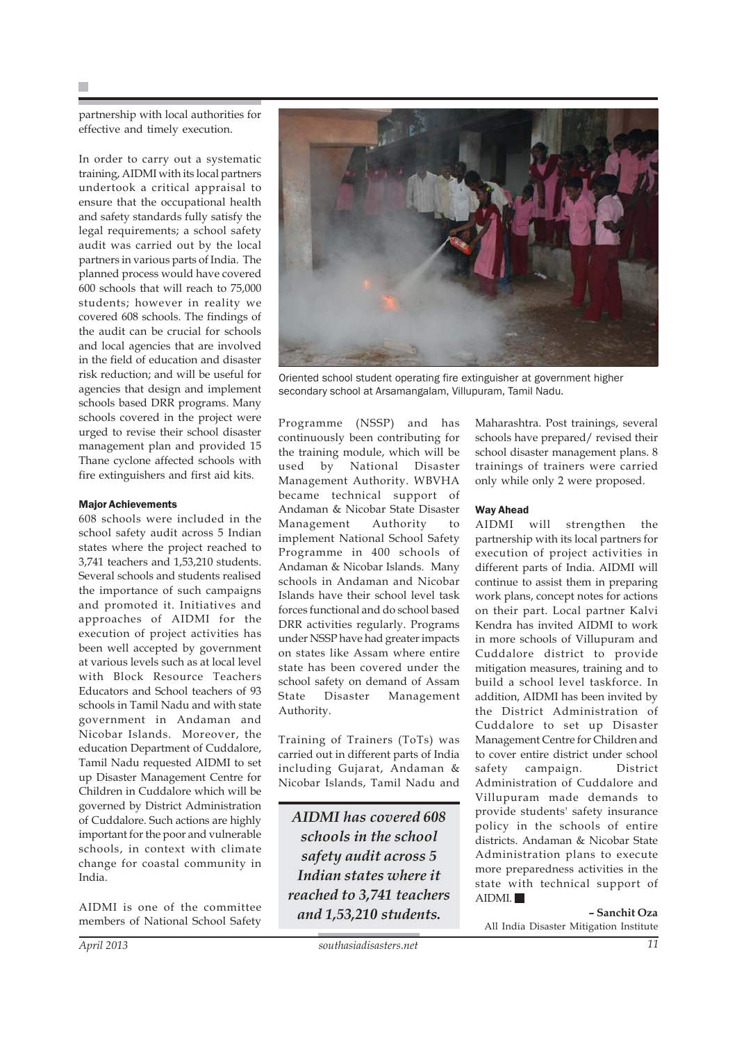partnership with local authorities for effective and timely execution.

In order to carry out a systematic training, AIDMI with its local partners undertook a critical appraisal to ensure that the occupational health and safety standards fully satisfy the legal requirements; a school safety audit was carried out by the local partners in various parts of India. The planned process would have covered 600 schools that will reach to 75,000 students; however in reality we covered 608 schools. The findings of the audit can be crucial for schools and local agencies that are involved in the field of education and disaster risk reduction; and will be useful for agencies that design and implement schools based DRR programs. Many schools covered in the project were urged to revise their school disaster management plan and provided 15 Thane cyclone affected schools with fire extinguishers and first aid kits.

#### Major Achievements

608 schools were included in the school safety audit across 5 Indian states where the project reached to 3,741 teachers and 1,53,210 students. Several schools and students realised the importance of such campaigns and promoted it. Initiatives and approaches of AIDMI for the execution of project activities has been well accepted by government at various levels such as at local level with Block Resource Teachers Educators and School teachers of 93 schools in Tamil Nadu and with state government in Andaman and Nicobar Islands. Moreover, the education Department of Cuddalore, Tamil Nadu requested AIDMI to set up Disaster Management Centre for Children in Cuddalore which will be governed by District Administration of Cuddalore. Such actions are highly important for the poor and vulnerable schools, in context with climate change for coastal community in India.

AIDMI is one of the committee members of National School Safety



Oriented school student operating fire extinguisher at government higher secondary school at Arsamangalam, Villupuram, Tamil Nadu.

Programme (NSSP) and has continuously been contributing for the training module, which will be used by National Disaster Management Authority. WBVHA became technical support of Andaman & Nicobar State Disaster Management Authority to implement National School Safety Programme in 400 schools of Andaman & Nicobar Islands. Many schools in Andaman and Nicobar Islands have their school level task forces functional and do school based DRR activities regularly. Programs under NSSP have had greater impacts on states like Assam where entire state has been covered under the school safety on demand of Assam State Disaster Management Authority.

Training of Trainers (ToTs) was carried out in different parts of India including Gujarat, Andaman & Nicobar Islands, Tamil Nadu and

*AIDMI has covered 608 schools in the school safety audit across 5 Indian states where it reached to 3,741 teachers and 1,53,210 students.*

Maharashtra. Post trainings, several schools have prepared/ revised their school disaster management plans. 8 trainings of trainers were carried only while only 2 were proposed.

#### Way Ahead

AIDMI will strengthen the partnership with its local partners for execution of project activities in different parts of India. AIDMI will continue to assist them in preparing work plans, concept notes for actions on their part. Local partner Kalvi Kendra has invited AIDMI to work in more schools of Villupuram and Cuddalore district to provide mitigation measures, training and to build a school level taskforce. In addition, AIDMI has been invited by the District Administration of Cuddalore to set up Disaster Management Centre for Children and to cover entire district under school safety campaign. District Administration of Cuddalore and Villupuram made demands to provide students' safety insurance policy in the schools of entire districts. Andaman & Nicobar State Administration plans to execute more preparedness activities in the state with technical support of AIDMI.

**– Sanchit Oza** All India Disaster Mitigation Institute